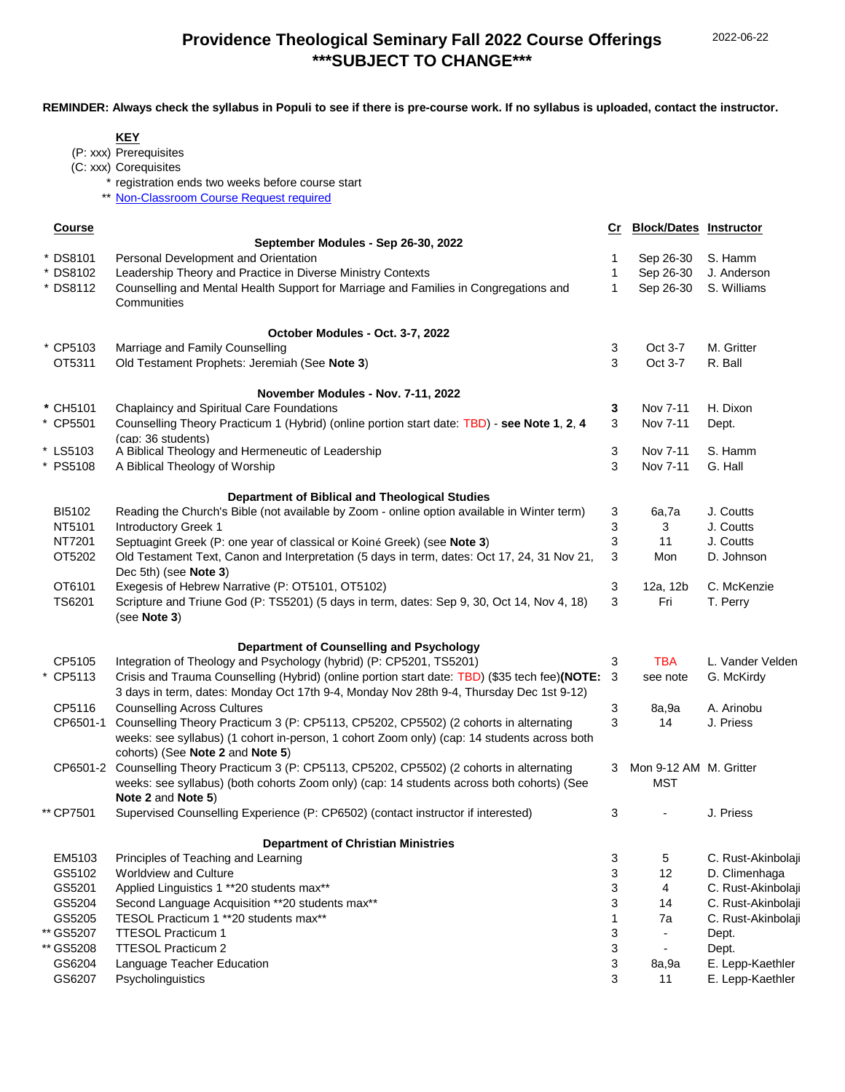## **Providence Theological Seminary Fall 2022 Course Offerings \*\*\*SUBJECT TO CHANGE\*\*\***

**REMINDER: Always check the syllabus in Populi to see if there is pre-course work. If no syllabus is uploaded, contact the instructor.**

|               | <b>KEY</b>                                                                                      |              |                               |                    |
|---------------|-------------------------------------------------------------------------------------------------|--------------|-------------------------------|--------------------|
|               | (P: xxx) Prerequisites                                                                          |              |                               |                    |
|               | (C: xxx) Corequisites                                                                           |              |                               |                    |
|               | * registration ends two weeks before course start                                               |              |                               |                    |
|               | Non-Classroom Course Request required                                                           |              |                               |                    |
|               |                                                                                                 |              |                               |                    |
| <b>Course</b> | September Modules - Sep 26-30, 2022                                                             | Cr           | <b>Block/Dates Instructor</b> |                    |
| * DS8101      | Personal Development and Orientation                                                            | 1            | Sep 26-30                     | S. Hamm            |
| * DS8102      | Leadership Theory and Practice in Diverse Ministry Contexts                                     | $\mathbf 1$  | Sep 26-30                     | J. Anderson        |
| * DS8112      | Counselling and Mental Health Support for Marriage and Families in Congregations and            | $\mathbf{1}$ | Sep 26-30                     | S. Williams        |
|               | Communities                                                                                     |              |                               |                    |
|               | October Modules - Oct. 3-7, 2022                                                                |              |                               |                    |
| * CP5103      | Marriage and Family Counselling                                                                 | 3            | Oct 3-7                       | M. Gritter         |
| OT5311        | Old Testament Prophets: Jeremiah (See Note 3)                                                   | 3            | Oct 3-7                       | R. Ball            |
|               |                                                                                                 |              |                               |                    |
|               | November Modules - Nov. 7-11, 2022                                                              |              |                               |                    |
| * CH5101      | Chaplaincy and Spiritual Care Foundations                                                       | 3            | Nov 7-11                      | H. Dixon           |
| * CP5501      | Counselling Theory Practicum 1 (Hybrid) (online portion start date: TBD) - see Note 1, 2, 4     | 3            | Nov 7-11                      | Dept.              |
| * LS5103      | (cap: 36 students)<br>A Biblical Theology and Hermeneutic of Leadership                         | 3            | Nov 7-11                      | S. Hamm            |
| * PS5108      | A Biblical Theology of Worship                                                                  | 3            | Nov 7-11                      | G. Hall            |
|               |                                                                                                 |              |                               |                    |
|               | Department of Biblical and Theological Studies                                                  |              |                               |                    |
| BI5102        | Reading the Church's Bible (not available by Zoom - online option available in Winter term)     | 3            | 6a,7a                         | J. Coutts          |
| NT5101        | Introductory Greek 1                                                                            | 3            | 3                             | J. Coutts          |
| NT7201        | Septuagint Greek (P: one year of classical or Koiné Greek) (see Note 3)                         | 3            | 11                            | J. Coutts          |
| OT5202        | Old Testament Text, Canon and Interpretation (5 days in term, dates: Oct 17, 24, 31 Nov 21,     | 3            | Mon                           | D. Johnson         |
|               | Dec 5th) (see Note 3)                                                                           |              |                               |                    |
| OT6101        | Exegesis of Hebrew Narrative (P: OT5101, OT5102)                                                | 3            | 12a, 12b                      | C. McKenzie        |
| TS6201        | Scripture and Triune God (P: TS5201) (5 days in term, dates: Sep 9, 30, Oct 14, Nov 4, 18)      | 3            | Fri                           | T. Perry           |
|               | (see Note 3)                                                                                    |              |                               |                    |
|               | Department of Counselling and Psychology                                                        |              |                               |                    |
| CP5105        | Integration of Theology and Psychology (hybrid) (P: CP5201, TS5201)                             | $\sqrt{3}$   | <b>TBA</b>                    | L. Vander Velden   |
| * CP5113      | Crisis and Trauma Counselling (Hybrid) (online portion start date: TBD) (\$35 tech fee)(NOTE: 3 |              | see note                      | G. McKirdy         |
|               | 3 days in term, dates: Monday Oct 17th 9-4, Monday Nov 28th 9-4, Thursday Dec 1st 9-12)         |              |                               |                    |
| CP5116        | <b>Counselling Across Cultures</b>                                                              | 3            | 8a,9a                         | A. Arinobu         |
| CP6501-1      | Counselling Theory Practicum 3 (P: CP5113, CP5202, CP5502) (2 cohorts in alternating            | 3            | 14                            | J. Priess          |
|               | weeks: see syllabus) (1 cohort in-person, 1 cohort Zoom only) (cap: 14 students across both     |              |                               |                    |
|               | cohorts) (See Note 2 and Note 5)                                                                |              |                               |                    |
|               | CP6501-2 Counselling Theory Practicum 3 (P: CP5113, CP5202, CP5502) (2 cohorts in alternating   | 3            | Mon 9-12 AM M. Gritter        |                    |
|               | weeks: see syllabus) (both cohorts Zoom only) (cap: 14 students across both cohorts) (See       |              | <b>MST</b>                    |                    |
|               | Note 2 and Note 5)                                                                              |              |                               |                    |
| ** CP7501     | Supervised Counselling Experience (P: CP6502) (contact instructor if interested)                | 3            |                               | J. Priess          |
|               | <b>Department of Christian Ministries</b>                                                       |              |                               |                    |
| EM5103        | Principles of Teaching and Learning                                                             | 3            | 5                             | C. Rust-Akinbolaji |
| GS5102        | <b>Worldview and Culture</b>                                                                    | 3            | 12                            | D. Climenhaga      |
| GS5201        | Applied Linguistics 1 ** 20 students max**                                                      | 3            | 4                             | C. Rust-Akinbolaji |
| GS5204        | Second Language Acquisition ** 20 students max**                                                | 3            | 14                            | C. Rust-Akinbolaji |
| GS5205        | TESOL Practicum 1 ** 20 students max**                                                          | $\mathbf 1$  | 7a                            | C. Rust-Akinbolaji |
| ** GS5207     | TTESOL Practicum 1                                                                              | 3            | $\overline{\phantom{a}}$      | Dept.              |
| ** GS5208     | <b>TTESOL Practicum 2</b>                                                                       | 3            | $\overline{\phantom{a}}$      | Dept.              |
| GS6204        | Language Teacher Education                                                                      | 3            | 8a,9a                         | E. Lepp-Kaethler   |
| GS6207        | Psycholinguistics                                                                               | 3            | 11                            | E. Lepp-Kaethler   |